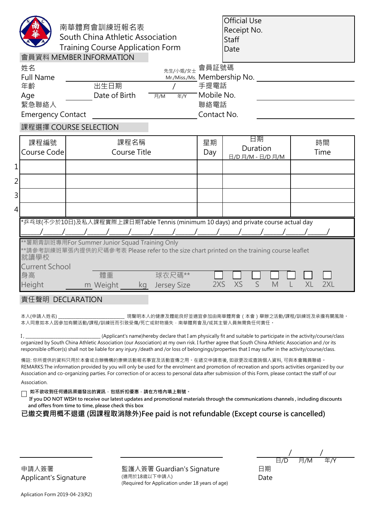| 南華體育會訓練班報名表<br>South China Athletic Association<br><b>Training Course Application Form</b><br>會員資料 MEMBER INFORMATION                                                        |                              |                |             | <b>Official Use</b><br>Receipt No.<br><b>Staff</b><br>Date |            |  |
|------------------------------------------------------------------------------------------------------------------------------------------------------------------------------|------------------------------|----------------|-------------|------------------------------------------------------------|------------|--|
| 姓名                                                                                                                                                                           | 先生/小姐/女士 會員証號碼               |                |             |                                                            |            |  |
| <b>Full Name</b>                                                                                                                                                             | Mr./Miss./Ms. Membership No. |                |             |                                                            |            |  |
| 年齡                                                                                                                                                                           | 出生日期                         |                | 手提電話        |                                                            |            |  |
| Age                                                                                                                                                                          | Date of Birth                | 年 $/Y$<br>月/M  | Mobile No.  |                                                            |            |  |
| 緊急聯絡人                                                                                                                                                                        |                              |                | 聯絡電話        |                                                            |            |  |
| <b>Emergency Contact</b>                                                                                                                                                     |                              |                | Contact No. |                                                            |            |  |
| 課程選擇 COURSE SELECTION                                                                                                                                                        |                              |                |             |                                                            |            |  |
| 課程編號<br>Course Code                                                                                                                                                          | 課程名稱<br>Course Title         |                | 星期<br>Day   | 日期<br>Duration<br>日/D 月/M - 日/D 月/M                        | 時間<br>Time |  |
| 1                                                                                                                                                                            |                              |                |             |                                                            |            |  |
| $\overline{2}$                                                                                                                                                               |                              |                |             |                                                            |            |  |
| 3                                                                                                                                                                            |                              |                |             |                                                            |            |  |
| 4                                                                                                                                                                            |                              |                |             |                                                            |            |  |
| *乒乓球(不少於10日)及私人課程實際上課日期Table Tennis (minimum 10 days) and private course actual day                                                                                          |                              |                |             |                                                            |            |  |
| **暑期青訓班專用For Summer Junior Squad Training Only<br>**請參考訓練班單張內提供的尺碼參考表 Please refer to the size chart printed on the training course leaflet<br>就讀學校<br><b>Current School</b> |                              |                |             |                                                            |            |  |
| 身高                                                                                                                                                                           | 體重                           | 球衣尺碼**         |             |                                                            |            |  |
| <b>Height</b>                                                                                                                                                                | m Weight                     | kg Jersey Size | 2XS         | <b>XS</b><br>S<br>M                                        | XL<br>2XL  |  |
| 責任聲明 DECLARATION                                                                                                                                                             |                              |                |             |                                                            |            |  |
| 本人(申請人姓名)<br>現聲明本人的健康及體能良好並適宜參加由南華體育會 ( 本會 ) 舉辦之活動/課程/訓練班及承擔有關風險。<br>本人同意如本人因參加有關活動/課程/訓練班而引致受傷/死亡或財物損失‧南華體育會及/或其主管人員無需負任何責任。                                                |                              |                |             |                                                            |            |  |
| (Applicantle name) borohy declare that I am physically fit and suitable to participate in the activity/course/class                                                          |                              |                |             |                                                            |            |  |

(Applicant's name)hereby declare that I am physically fit and suitable to participate in the activity/course/cla organized by South China Athletic Association (our Association) at my own risk. I further agree that South China Athletic Association and /or its responsible officer(s) shall not be liable for any injury /death and /or loss of belongings/properties that I may suffer in the activity/course/class.

備註: 你所提供的資料只用於本會或合辦機構的康樂活動報名事宜及活動宣傳之用。在遞交申請表後, 如欲更改或查詢個人資料, 可與本會職員聯絡。 REMARKS:The information provided by you will only be used for the enrolment and promotion of recreation and sports activities organized by our Association and co-organizing parties. For correction of or access to personal data after submission of this Form, please contact the staff of our

Association.

 **如不欲收到任何通訊渠道發出的資訊,包括折扣優惠,請在方格內填上剔號。**

 **If you DO NOT WISH to receive our latest updates and promotional materials through the communications channels , including discounts and offers from time to time, please check this box**

**已繳交費用概不退還 (因課程取消除外)Fee paid is not refundable (Except course is cancelled)**

監護人簽署 Guardian's Signature (適用於18歲以下申請人) (Required for Application under 18 years of age)

日期 Date / / 日/D 月/M 年/Y